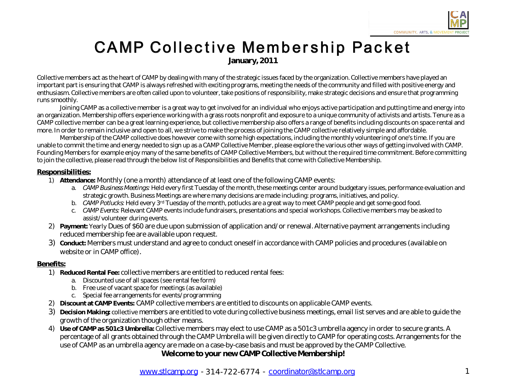## **CAMP Collective Membership Packet January,2011**

Collective members act as the heart of CAMP by dealing with many of the strategic issues faced by the organization. Collective members have played an important part is ensuring that CAMP is always refreshed with exciting programs, meeting the needs of the community and filled with positive energy and enthusiasm. Collective members are often called upon to volunteer, take positions of responsibility, make strategic decisions and ensure that programming runs smoothly.

Joining CAMP as a collective member is a great way to get involved for an individual who enjoys active participation and putting time and energy into an organization. Membership offers experience working with a grass roots nonprofit and exposure to a unique community of activists and artists. Tenure as a CAMP collective member can be a great learning experience, but collective membership also offers a range of benefits including discounts on space rental and more. In order to remain inclusive and open to all, we strive to make the process of joining the CAMP collective relatively simple and affordable.

Membership of the CAMP collective does however come with some high expectations, including the monthly volunteering of one's time. If you are unable to commit the time and energy needed to sign up as a CAMP Collective Member, please explore the various other ways of getting involved with CAMP. Founding Members for example enjoy many of the same benefits of CAMP Collective Members, but without the required time commitment. Before committing to join the collective, please read through the below list of Responsibilities and Benefits that come with Collective Membership.

## **Responsibilities:**

- 1) **Attendance:** Monthly (one a month) attendance of at least one of the following CAMP events:
	- a. CAMP Business Meetings: Held every first Tuesday of the month, these meetings center around budgetary issues, performance evaluation and strategic growth. Business Meetings are where many decisions are made including: programs, initiatives, and policy.
	- b. CAMP Potlucks: Held every 3<sup>rd</sup> Tuesday of the month, potlucks are a great way to meet CAMP people and get some good food.
	- c. CAMP Events: Relevant CAMP events include fundraisers, presentations and special workshops. Collective members may be asked to assist/volunteer during events.
- 2) Payment: Yearly Dues of \$60 are due upon submission of application and/ or renewal. Alternative payment arrangements including reduced membership fee are available upon request.
- 3) **Conduct:** Members must understand and agree to conduct oneself in accordance with CAMP policies and procedures (available on websiteor in CAMP office).

## **Benefits:**

- 1) **ReducedRental Fee:**collectivemembers areentitled to reduced rental fees:
	- a. Discounted use of all spaces (see rental fee form)
	- b. Free use of vacant space for meetings (as available)
	- c. Special feearrangements for events/ programming
- 2) **Discount at CAMP Events:** CAMP collective members are entitled to discounts on applicable CAMP events.
- 3) **DecisionMaking:**collectivemembers areentitled to voteduringcollectivebusinessmeetings,email list serves and areable to guide the growth of the organization though other means.
- 4) **Use of CAMP as 501c3 Umbrella:** Collective members may elect to use CAMP as a 501c3 umbrella agency in order to secure grants. A percentage of all grants obtained through the CAMP Umbrella will be given directly to CAMP for operating costs. Arrangements for the use of CAMP as an umbrella agency are made on a case-by-case basis and must be approved by the CAMP Collective.

Welcome to your new CAMP Collective Membership!